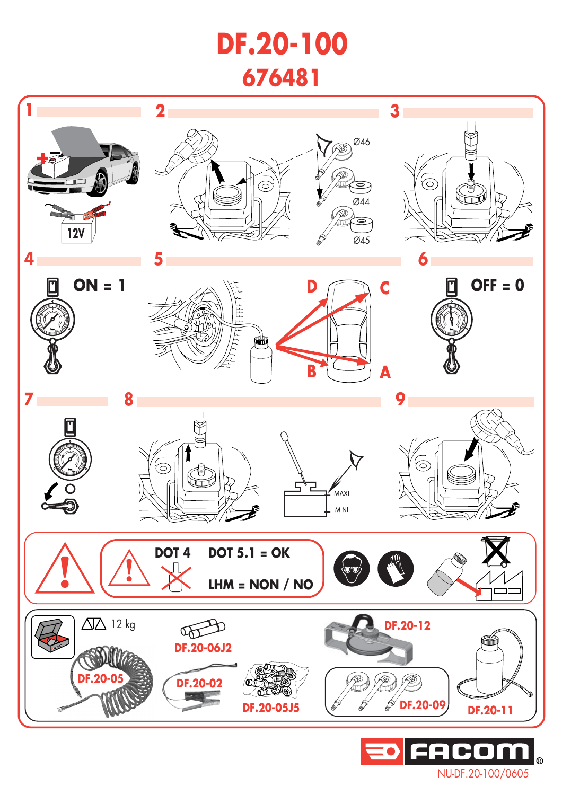## **DF.20-100 676481**



NU-DF.20-100/0605

 $\overline{R}$